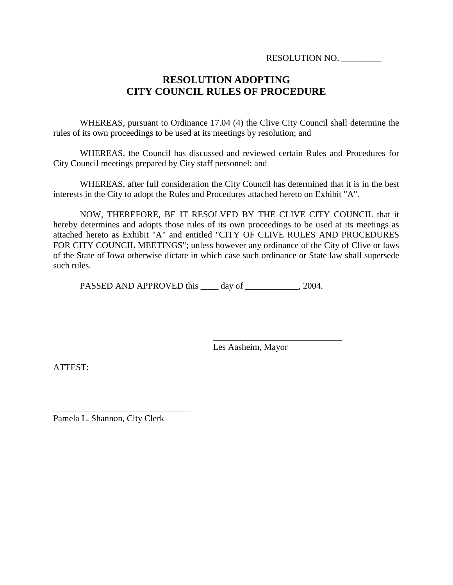RESOLUTION NO. \_\_\_\_\_\_\_\_\_

# **RESOLUTION ADOPTING CITY COUNCIL RULES OF PROCEDURE**

WHEREAS, pursuant to Ordinance 17.04 (4) the Clive City Council shall determine the rules of its own proceedings to be used at its meetings by resolution; and

WHEREAS, the Council has discussed and reviewed certain Rules and Procedures for City Council meetings prepared by City staff personnel; and

WHEREAS, after full consideration the City Council has determined that it is in the best interests in the City to adopt the Rules and Procedures attached hereto on Exhibit "A".

NOW, THEREFORE, BE IT RESOLVED BY THE CLIVE CITY COUNCIL that it hereby determines and adopts those rules of its own proceedings to be used at its meetings as attached hereto as Exhibit "A" and entitled "CITY OF CLIVE RULES AND PROCEDURES FOR CITY COUNCIL MEETINGS"; unless however any ordinance of the City of Clive or laws of the State of Iowa otherwise dictate in which case such ordinance or State law shall supersede such rules.

PASSED AND APPROVED this \_\_\_\_ day of \_\_\_\_\_\_\_\_\_\_\_\_, 2004.

Les Aasheim, Mayor

\_\_\_\_\_\_\_\_\_\_\_\_\_\_\_\_\_\_\_\_\_\_\_\_\_\_\_\_\_

ATTEST:

Pamela L. Shannon, City Clerk

\_\_\_\_\_\_\_\_\_\_\_\_\_\_\_\_\_\_\_\_\_\_\_\_\_\_\_\_\_\_\_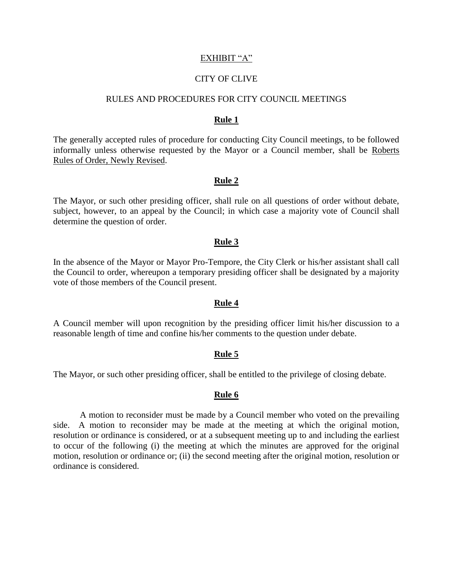# EXHIBIT "A"

# CITY OF CLIVE

# RULES AND PROCEDURES FOR CITY COUNCIL MEETINGS

#### **Rule 1**

The generally accepted rules of procedure for conducting City Council meetings, to be followed informally unless otherwise requested by the Mayor or a Council member, shall be Roberts Rules of Order, Newly Revised.

# **Rule 2**

The Mayor, or such other presiding officer, shall rule on all questions of order without debate, subject, however, to an appeal by the Council; in which case a majority vote of Council shall determine the question of order.

## **Rule 3**

In the absence of the Mayor or Mayor Pro-Tempore, the City Clerk or his/her assistant shall call the Council to order, whereupon a temporary presiding officer shall be designated by a majority vote of those members of the Council present.

#### **Rule 4**

A Council member will upon recognition by the presiding officer limit his/her discussion to a reasonable length of time and confine his/her comments to the question under debate.

#### **Rule 5**

The Mayor, or such other presiding officer, shall be entitled to the privilege of closing debate.

# **Rule 6**

A motion to reconsider must be made by a Council member who voted on the prevailing side. A motion to reconsider may be made at the meeting at which the original motion, resolution or ordinance is considered, or at a subsequent meeting up to and including the earliest to occur of the following (i) the meeting at which the minutes are approved for the original motion, resolution or ordinance or; (ii) the second meeting after the original motion, resolution or ordinance is considered.